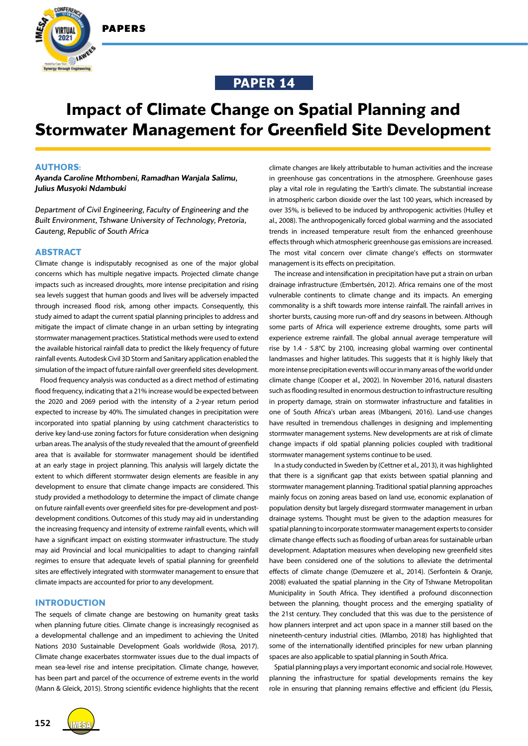

**IAWEK** 



# **Impact of Climate Change on Spatial Planning and Stormwater Management for Greenfield Site Development**

## **AUTHORS:**

*Ayanda Caroline Mthombeni, Ramadhan Wanjala Salimu, Julius Musyoki Ndambuki*

*Department of Civil Engineering, Faculty of Engineering and the Built Environment, Tshwane University of Technology, Pretoria, Gauteng, Republic of South Africa*

## **ABSTRACT**

Climate change is indisputably recognised as one of the major global concerns which has multiple negative impacts. Projected climate change impacts such as increased droughts, more intense precipitation and rising sea levels suggest that human goods and lives will be adversely impacted through increased flood risk, among other impacts. Consequently, this study aimed to adapt the current spatial planning principles to address and mitigate the impact of climate change in an urban setting by integrating stormwater management practices. Statistical methods were used to extend the available historical rainfall data to predict the likely frequency of future rainfall events. Autodesk Civil 3D Storm and Sanitary application enabled the simulation of the impact of future rainfall over greenfield sites development.

Flood frequency analysis was conducted as a direct method of estimating flood frequency, indicating that a 21% increase would be expected between the 2020 and 2069 period with the intensity of a 2-year return period expected to increase by 40%. The simulated changes in precipitation were incorporated into spatial planning by using catchment characteristics to derive key land-use zoning factors for future consideration when designing urban areas. The analysis of the study revealed that the amount of greenfield area that is available for stormwater management should be identified at an early stage in project planning. This analysis will largely dictate the extent to which different stormwater design elements are feasible in any development to ensure that climate change impacts are considered. This study provided a methodology to determine the impact of climate change on future rainfall events over greenfield sites for pre-development and postdevelopment conditions. Outcomes of this study may aid in understanding the increasing frequency and intensity of extreme rainfall events, which will have a significant impact on existing stormwater infrastructure. The study may aid Provincial and local municipalities to adapt to changing rainfall regimes to ensure that adequate levels of spatial planning for greenfield sites are effectively integrated with stormwater management to ensure that climate impacts are accounted for prior to any development.

## **INTRODUCTION**

The sequels of climate change are bestowing on humanity great tasks when planning future cities. Climate change is increasingly recognised as a developmental challenge and an impediment to achieving the United Nations 2030 Sustainable Development Goals worldwide (Rosa, 2017). Climate change exacerbates stormwater issues due to the dual impacts of mean sea-level rise and intense precipitation. Climate change, however, has been part and parcel of the occurrence of extreme events in the world (Mann & Gleick, 2015). Strong scientific evidence highlights that the recent

climate changes are likely attributable to human activities and the increase in greenhouse gas concentrations in the atmosphere. Greenhouse gases play a vital role in regulating the 'Earth's climate. The substantial increase in atmospheric carbon dioxide over the last 100 years, which increased by over 35%, is believed to be induced by anthropogenic activities (Hulley et al., 2008). The anthropogenically forced global warming and the associated trends in increased temperature result from the enhanced greenhouse effects through which atmospheric greenhouse gas emissions are increased. The most vital concern over climate change's effects on stormwater management is its effects on precipitation.

The increase and intensification in precipitation have put a strain on urban drainage infrastructure (Embertsén, 2012). Africa remains one of the most vulnerable continents to climate change and its impacts. An emerging commonality is a shift towards more intense rainfall. The rainfall arrives in shorter bursts, causing more run-off and dry seasons in between. Although some parts of Africa will experience extreme droughts, some parts will experience extreme rainfall. The global annual average temperature will rise by 1.4 - 5.8°C by 2100, increasing global warming over continental landmasses and higher latitudes. This suggests that it is highly likely that more intense precipitation events will occur in many areas of the world under climate change (Cooper et al., 2002). In November 2016, natural disasters such as flooding resulted in enormous destruction to infrastructure resulting in property damage, strain on stormwater infrastructure and fatalities in one of South Africa's urban areas (Mbangeni, 2016). Land-use changes have resulted in tremendous challenges in designing and implementing stormwater management systems. New developments are at risk of climate change impacts if old spatial planning policies coupled with traditional stormwater management systems continue to be used.

In a study conducted in Sweden by (Cettner et al., 2013), it was highlighted that there is a significant gap that exists between spatial planning and stormwater management planning. Traditional spatial planning approaches mainly focus on zoning areas based on land use, economic explanation of population density but largely disregard stormwater management in urban drainage systems. Thought must be given to the adaption measures for spatial planning to incorporate stormwater management experts to consider climate change effects such as flooding of urban areas for sustainable urban development. Adaptation measures when developing new greenfield sites have been considered one of the solutions to alleviate the detrimental effects of climate change (Demuzere et al., 2014). (Serfontein & Oranje, 2008) evaluated the spatial planning in the City of Tshwane Metropolitan Municipality in South Africa. They identified a profound disconnection between the planning, thought process and the emerging spatiality of the 21st century. They concluded that this was due to the persistence of how planners interpret and act upon space in a manner still based on the nineteenth-century industrial cities. (Mlambo, 2018) has highlighted that some of the internationally identified principles for new urban planning spaces are also applicable to spatial planning in South Africa.

Spatial planning plays a very important economic and social role. However, planning the infrastructure for spatial developments remains the key role in ensuring that planning remains effective and efficient (du Plessis,

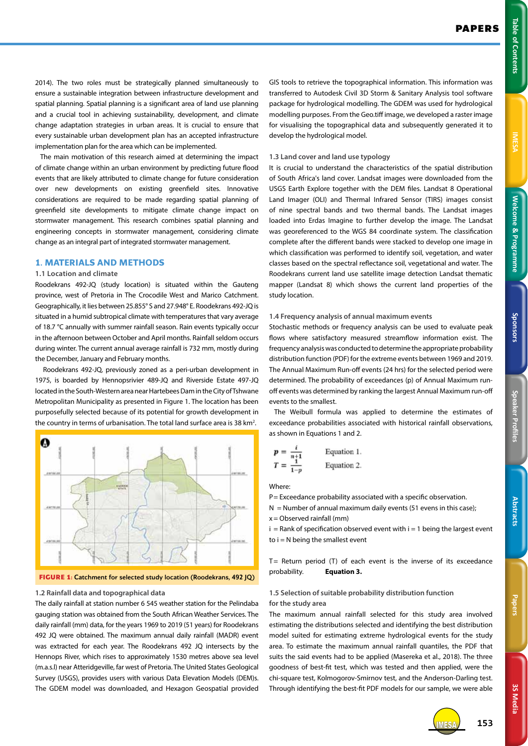**IMESA** 

**3S Media**

3S Media

2014). The two roles must be strategically planned simultaneously to ensure a sustainable integration between infrastructure development and spatial planning. Spatial planning is a significant area of land use planning and a crucial tool in achieving sustainability, development, and climate change adaptation strategies in urban areas. It is crucial to ensure that every sustainable urban development plan has an accepted infrastructure implementation plan for the area which can be implemented.

The main motivation of this research aimed at determining the impact of climate change within an urban environment by predicting future flood events that are likely attributed to climate change for future consideration over new developments on existing greenfield sites. Innovative considerations are required to be made regarding spatial planning of greenfield site developments to mitigate climate change impact on stormwater management. This research combines spatial planning and engineering concepts in stormwater management, considering climate change as an integral part of integrated stormwater management.

## **1. MATERIALS AND METHODS**

## **1.1 Location and climate**

Roodekrans 492-JQ (study location) is situated within the Gauteng province, west of Pretoria in The Crocodile West and Marico Catchment. Geographically, it lies between 25.855° S and 27.948° E. Roodekrans 492-JQ is situated in a humid subtropical climate with temperatures that vary average of 18.7 °C annually with summer rainfall season. Rain events typically occur in the afternoon between October and April months. Rainfall seldom occurs during winter. The current annual average rainfall is 732 mm, mostly during the December, January and February months.

 Roodekrans 492-JQ, previously zoned as a peri-urban development in 1975, is boarded by Hennopsrivier 489-JQ and Riverside Estate 497-JQ located in the South-Western area near Hartebees Dam in the City of Tshwane Metropolitan Municipality as presented in Figure 1. The location has been purposefully selected because of its potential for growth development in the country in terms of urbanisation. The total land surface area is 38 km<sup>2</sup>.



**FIGURE 1:** Catchment for selected study location (Roodekrans, 492 JQ)

#### **1.2 Rainfall data and topographical data**

The daily rainfall at station number 6 545 weather station for the Pelindaba gauging station was obtained from the South African Weather Services. The daily rainfall (mm) data, for the years 1969 to 2019 (51 years) for Roodekrans 492 JQ were obtained. The maximum annual daily rainfall (MADR) event was extracted for each year. The Roodekrans 492 JQ intersects by the Hennops River, which rises to approximately 1530 metres above sea level (m.a.s.l) near Atteridgeville, far west of Pretoria. The United States Geological Survey (USGS), provides users with various Data Elevation Models (DEM)s. The GDEM model was downloaded, and Hexagon Geospatial provided

GIS tools to retrieve the topographical information. This information was transferred to Autodesk Civil 3D Storm & Sanitary Analysis tool software package for hydrological modelling. The GDEM was used for hydrological modelling purposes. From the Geo.tiff image, we developed a raster image for visualising the topographical data and subsequently generated it to develop the hydrological model.

#### **1.3 Land cover and land use typology**

It is crucial to understand the characteristics of the spatial distribution of South Africa's land cover. Landsat images were downloaded from the USGS Earth Explore together with the DEM files. Landsat 8 Operational Land Imager (OLI) and Thermal Infrared Sensor (TIRS) images consist of nine spectral bands and two thermal bands. The Landsat images loaded into Erdas Imagine to further develop the image. The Landsat was georeferenced to the WGS 84 coordinate system. The classification complete after the different bands were stacked to develop one image in which classification was performed to identify soil, vegetation, and water classes based on the spectral reflectance soil, vegetational and water. The Roodekrans current land use satellite image detection Landsat thematic mapper (Landsat 8) which shows the current land properties of the study location.

#### **1.4 Frequency analysis of annual maximum events**

Stochastic methods or frequency analysis can be used to evaluate peak flows where satisfactory measured streamflow information exist. The frequency analysis was conducted to determine the appropriate probability distribution function (PDF) for the extreme events between 1969 and 2019. The Annual Maximum Run-off events (24 hrs) for the selected period were determined. The probability of exceedances (p) of Annual Maximum runoff events was determined by ranking the largest Annual Maximum run-off events to the smallest.

The Weibull formula was applied to determine the estimates of exceedance probabilities associated with historical rainfall observations, as shown in Equations 1 and 2.

$$
p = \frac{1}{n+1}
$$
 Equation 1.  

$$
T = \frac{1}{1-p}
$$
 Equation 2.

Where:

P = Exceedance probability associated with a specific observation.

 $N =$  Number of annual maximum daily events (51 evens in this case); x= Observed rainfall (mm)

 $i =$  Rank of specification observed event with  $i = 1$  being the largest event to  $i = N$  being the smallest event

 $T=$  Return period (T) of each event is the inverse of its exceedance probability. **Equation 3.**

## **1.5 Selection of suitable probability distribution function for the study area**

The maximum annual rainfall selected for this study area involved estimating the distributions selected and identifying the best distribution model suited for estimating extreme hydrological events for the study area. To estimate the maximum annual rainfall quantiles, the PDF that suits the said events had to be applied (Masereka et al., 2018). The three goodness of best-fit test, which was tested and then applied, were the chi-square test, Kolmogorov-Smirnov test, and the Anderson-Darling test. Through identifying the best-fit PDF models for our sample, we were able



IMESA **153**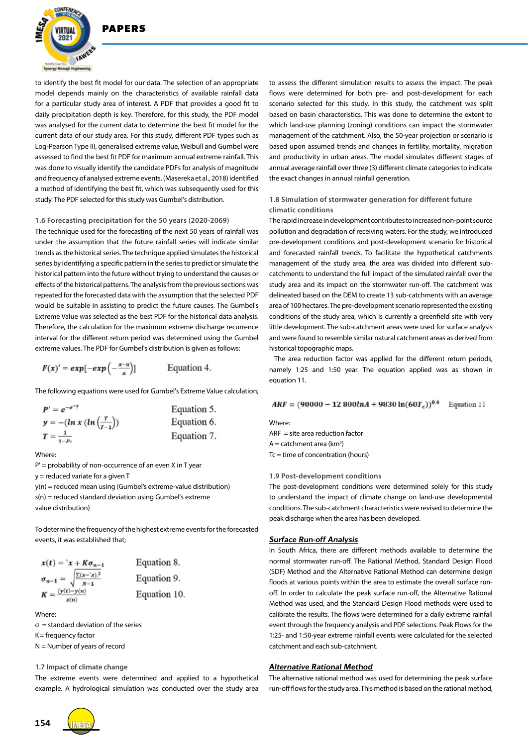

to identify the best fit model for our data. The selection of an appropriate model depends mainly on the characteristics of available rainfall data for a particular study area of interest. A PDF that provides a good fit to daily precipitation depth is key. Therefore, for this study, the PDF model was analysed for the current data to determine the best fit model for the current data of our study area. For this study, different PDF types such as Log-Pearson Type III, generalised extreme value, Weibull and Gumbel were assessed to find the best fit PDF for maximum annual extreme rainfall. This was done to visually identify the candidate PDFs for analysis of magnitude and frequency of analysed extreme events. (Masereka et al., 2018) identified a method of identifying the best fit, which was subsequently used for this study. The PDF selected for this study was Gumbel's distribution.

#### **1.6 Forecasting precipitation for the 50 years (2020-2069)**

The technique used for the forecasting of the next 50 years of rainfall was under the assumption that the future rainfall series will indicate similar trends as the historical series. The technique applied simulates the historical series by identifying a specific pattern in the series to predict or simulate the historical pattern into the future without trying to understand the causes or effects of the historical patterns. The analysis from the previous sections was repeated for the forecasted data with the assumption that the selected PDF would be suitable in assisting to predict the future causes. The Gumbel's Extreme Value was selected as the best PDF for the historical data analysis. Therefore, the calculation for the maximum extreme discharge recurrence interval for the different return period was determined using the Gumbel extreme values. The PDF for Gumbel's distribution is given as follows:

$$
F(x)' = exp[-exp(-\frac{x-u}{a})]
$$
 Equation

The following equations were used for Gumbel's Extreme Value calculation;

4.

| $P' = e^{-e^{-y}}$               | Equation 5. |  |  |
|----------------------------------|-------------|--|--|
| $y = -(ln x (ln(\frac{r}{r-1}))$ | Equation 6. |  |  |
| $T = \frac{1}{1}$<br>$1-P_t$     | Equation 7. |  |  |

Where:

 $P'$  = probability of non-occurrence of an even X in T year

y= reduced variate for a given T

y(n) = reduced mean using (Gumbel's extreme-value distribution) s(n) = reduced standard deviation using Gumbel's extreme value distribution)

To determine the frequency of the highest extreme events for the forecasted events, it was established that;

$$
x(t) = x + K\sigma_{n-1}
$$
  
\n
$$
\sigma_{n-1} = \sqrt{\frac{\sum (x - x)^2}{N-1}}
$$
  
\nEquation 9.  
\nEquation 10.  
\nEquation 10.

Where:

 $\sigma$  = standard deviation of the series

K= frequency factor

N = Number of years of record

#### **1.7 Impact of climate change**

The extreme events were determined and applied to a hypothetical example. A hydrological simulation was conducted over the study area

to assess the different simulation results to assess the impact. The peak flows were determined for both pre- and post-development for each scenario selected for this study. In this study, the catchment was split based on basin characteristics. This was done to determine the extent to which land-use planning (zoning) conditions can impact the stormwater management of the catchment. Also, the 50-year projection or scenario is based upon assumed trends and changes in fertility, mortality, migration and productivity in urban areas. The model simulates different stages of annual average rainfall over three (3) different climate categories to indicate the exact changes in annual rainfall generation.

## **1.8 Simulation of stormwater generation for different future climatic conditions**

The rapid increase in development contributes to increased non-point source pollution and degradation of receiving waters. For the study, we introduced pre-development conditions and post-development scenario for historical and forecasted rainfall trends. To facilitate the hypothetical catchments management of the study area, the area was divided into different subcatchments to understand the full impact of the simulated rainfall over the study area and its impact on the stormwater run-off. The catchment was delineated based on the DEM to create 13 sub-catchments with an average area of 100 hectares. The pre-development scenario represented the existing conditions of the study area, which is currently a greenfield site with very little development. The sub-catchment areas were used for surface analysis and were found to resemble similar natural catchment areas as derived from historical topographic maps.

The area reduction factor was applied for the different return periods, namely 1:25 and 1:50 year. The equation applied was as shown in equation 11.

 $ARF = (90000 - 12800lnA + 9830ln(60T_c))^{0.4}$  Equation 11

Where:  $ARF =$  site area reduction factor  $A =$  catchment area (km<sup>2</sup>) Tc = time of concentration (hours)

#### **1.9 Post-development conditions**

The post-development conditions were determined solely for this study to understand the impact of climate change on land-use developmental conditions. The sub-catchment characteristics were revised to determine the peak discharge when the area has been developed.

## *Surface Run-off Analysis*

In South Africa, there are different methods available to determine the normal stormwater run-off. The Rational Method, Standard Design Flood (SDF) Method and the Alternative Rational Method can determine design floods at various points within the area to estimate the overall surface runoff. In order to calculate the peak surface run-off, the Alternative Rational Method was used, and the Standard Design Flood methods were used to calibrate the results. The flows were determined for a daily extreme rainfall event through the frequency analysis and PDF selections. Peak Flows for the 1:25- and 1:50-year extreme rainfall events were calculated for the selected catchment and each sub-catchment.

## *Alternative Rational Method*

The alternative rational method was used for determining the peak surface run-off flows for the study area. This method is based on the rational method,

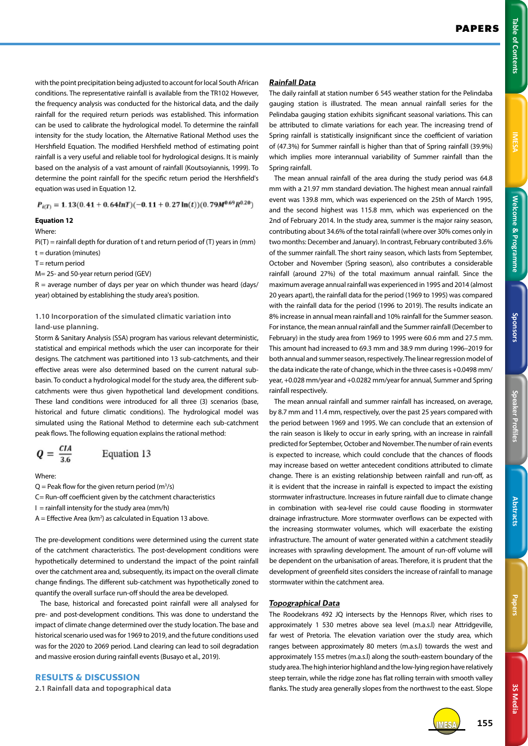with the point precipitation being adjusted to account for local South African conditions. The representative rainfall is available from the TR102 However, the frequency analysis was conducted for the historical data, and the daily rainfall for the required return periods was established. This information can be used to calibrate the hydrological model. To determine the rainfall intensity for the study location, the Alternative Rational Method uses the Hershfield Equation. The modified Hershfield method of estimating point rainfall is a very useful and reliable tool for hydrological designs. It is mainly based on the analysis of a vast amount of rainfall (Koutsoyiannis, 1999). To determine the point rainfall for the specific return period the Hershfield's equation was used in Equation 12.

 $P_{i(T)} = 1.13(0.41 + 0.64lnT)(-0.11 + 0.27ln(t))(0.79M^{0.69}R^{0.20})$ 

## **Equation 12**

#### Where:

 $Pi(T) =$  rainfall depth for duration of t and return period of (T) years in (mm)

- $t =$  duration (minutes)
- $T =$  return period

M= 25- and 50-year return period (GEV)

 $R =$  average number of days per year on which thunder was heard (days/ year) obtained by establishing the study area's position.

## **1.10 Incorporation of the simulated climatic variation into land-use planning.**

Storm & Sanitary Analysis (SSA) program has various relevant deterministic, statistical and empirical methods which the user can incorporate for their designs. The catchment was partitioned into 13 sub-catchments, and their effective areas were also determined based on the current natural subbasin. To conduct a hydrological model for the study area, the different subcatchments were thus given hypothetical land development conditions. These land conditions were introduced for all three (3) scenarios (base, historical and future climatic conditions). The hydrological model was simulated using the Rational Method to determine each sub-catchment peak flows. The following equation explains the rational method:

$$
Q = \frac{CIA}{3.6}
$$
 Equation 13

Where:

- $Q =$  Peak flow for the given return period (m<sup>3</sup>/s)
- C= Run-off coefficient given by the catchment characteristics
- $I =$  rainfall intensity for the study area (mm/h)
- $A =$  Effective Area (km<sup>2</sup>) as calculated in Equation 13 above.

The pre-development conditions were determined using the current state of the catchment characteristics. The post-development conditions were hypothetically determined to understand the impact of the point rainfall over the catchment area and, subsequently, its impact on the overall climate change findings. The different sub-catchment was hypothetically zoned to quantify the overall surface run-off should the area be developed.

The base, historical and forecasted point rainfall were all analysed for pre- and post-development conditions. This was done to understand the impact of climate change determined over the study location. The base and historical scenario used was for 1969 to 2019, and the future conditions used was for the 2020 to 2069 period. Land clearing can lead to soil degradation and massive erosion during rainfall events (Busayo et al., 2019).

## **RESULTS & DISCUSSION**

**2.1 Rainfall data and topographical data**

# *Rainfall Data*

The daily rainfall at station number 6 545 weather station for the Pelindaba gauging station is illustrated. The mean annual rainfall series for the Pelindaba gauging station exhibits significant seasonal variations. This can be attributed to climate variations for each year. The increasing trend of Spring rainfall is statistically insignificant since the coefficient of variation of (47.3%) for Summer rainfall is higher than that of Spring rainfall (39.9%) which implies more interannual variability of Summer rainfall than the Spring rainfall.

The mean annual rainfall of the area during the study period was 64.8 mm with a 21.97 mm standard deviation. The highest mean annual rainfall event was 139.8 mm, which was experienced on the 25th of March 1995, and the second highest was 115.8 mm, which was experienced on the 2nd of February 2014. In the study area, summer is the major rainy season, contributing about 34.6% of the total rainfall (where over 30% comes only in two months: December and January). In contrast, February contributed 3.6% of the summer rainfall. The short rainy season, which lasts from September, October and November (Spring season), also contributes a considerable rainfall (around 27%) of the total maximum annual rainfall. Since the maximum average annual rainfall was experienced in 1995 and 2014 (almost 20 years apart), the rainfall data for the period (1969 to 1995) was compared with the rainfall data for the period (1996 to 2019). The results indicate an 8% increase in annual mean rainfall and 10% rainfall for the Summer season. For instance, the mean annual rainfall and the Summer rainfall (December to February) in the study area from 1969 to 1995 were 60.6 mm and 27.5 mm. This amount had increased to 69.3 mm and 38.9 mm during 1996–2019 for both annual and summer season, respectively. The linear regression model of the data indicate the rate of change, which in the three cases is +0.0498 mm/ year, +0.028 mm/year and +0.0282 mm/year for annual, Summer and Spring rainfall respectively.

The mean annual rainfall and summer rainfall has increased, on average, by 8.7 mm and 11.4 mm, respectively, over the past 25 years compared with the period between 1969 and 1995. We can conclude that an extension of the rain season is likely to occur in early spring, with an increase in rainfall predicted for September, October and November. The number of rain events is expected to increase, which could conclude that the chances of floods may increase based on wetter antecedent conditions attributed to climate change. There is an existing relationship between rainfall and run-off, as it is evident that the increase in rainfall is expected to impact the existing stormwater infrastructure. Increases in future rainfall due to climate change in combination with sea-level rise could cause flooding in stormwater drainage infrastructure. More stormwater overflows can be expected with the increasing stormwater volumes, which will exacerbate the existing infrastructure. The amount of water generated within a catchment steadily increases with sprawling development. The amount of run-off volume will be dependent on the urbanisation of areas. Therefore, it is prudent that the development of greenfield sites considers the increase of rainfall to manage stormwater within the catchment area.

## *Topographical Data*

The Roodekrans 492 JQ intersects by the Hennops River, which rises to approximately 1 530 metres above sea level (m.a.s.l) near Attridgeville, far west of Pretoria. The elevation variation over the study area, which ranges between approximately 80 meters (m.a.s.l) towards the west and approximately 155 metres (m.a.s.l) along the south-eastern boundary of the study area. The high interior highland and the low-lying region have relatively steep terrain, while the ridge zone has flat rolling terrain with smooth valley flanks. The study area generally slopes from the northwest to the east. Slope



IMESA **155**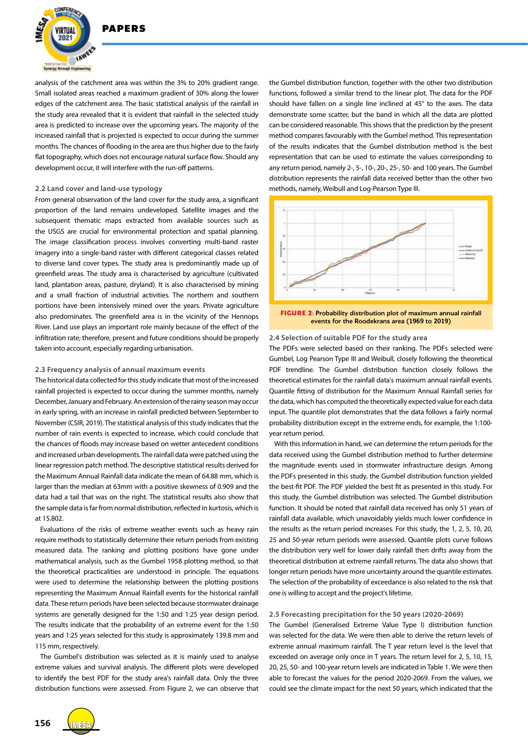

analysis of the catchment area was within the 3% to 20% gradient range. Small isolated areas reached a maximum gradient of 30% along the lower edges of the catchment area. The basic statistical analysis of the rainfall in the study area revealed that it is evident that rainfall in the selected study area is predicted to increase over the upcoming years. The majority of the increased rainfall that is projected is expected to occur during the summer months. The chances of flooding in the area are thus higher due to the fairly flat topography, which does not encourage natural surface flow. Should any development occur, it will interfere with the run-off patterns.

## **2.2 Land cover and land-use typology**

From general observation of the land cover for the study area, a significant proportion of the land remains undeveloped. Satellite images and the subsequent thematic maps extracted from available sources such as the USGS are crucial for environmental protection and spatial planning. The image classification process involves converting multi-band raster imagery into a single-band raster with different categorical classes related to diverse land cover types. The study area is predominantly made up of greenfield areas. The study area is characterised by agriculture (cultivated land, plantation areas, pasture, dryland). It is also characterised by mining and a small fraction of industrial activities. The northern and southern portions have been intensively mined over the years. Private agriculture also predominates. The greenfield area is in the vicinity of the Hennops River. Land use plays an important role mainly because of the effect of the infiltration rate; therefore, present and future conditions should be properly taken into account, especially regarding urbanisation.

#### **2.3 Frequency analysis of annual maximum events**

The historical data collected for this study indicate that most of the increased rainfall projected is expected to occur during the summer months, namely December, January and February. An extension of the rainy season may occur in early spring, with an increase in rainfall predicted between September to November (CSIR, 2019). The statistical analysis of this study indicates that the number of rain events is expected to increase, which could conclude that the chances of floods may increase based on wetter antecedent conditions and increased urban developments. The rainfall data were patched using the linear regression patch method. The descriptive statistical results derived for the Maximum Annual Rainfall data indicate the mean of 64.88 mm, which is larger than the median at 63mm with a positive skewness of 0.909 and the data had a tail that was on the right. The statistical results also show that the sample data is far from normal distribution, reflected in kurtosis, which is at 15.802.

Evaluations of the risks of extreme weather events such as heavy rain require methods to statistically determine their return periods from existing measured data. The ranking and plotting positions have gone under mathematical analysis, such as the Gumbel 1958 plotting method, so that the theoretical practicalities are understood in principle. The equations were used to determine the relationship between the plotting positions representing the Maximum Annual Rainfall events for the historical rainfall data. These return periods have been selected because stormwater drainage systems are generally designed for the 1:50 and 1:25 year design period. The results indicate that the probability of an extreme event for the 1:50 years and 1:25 years selected for this study is approximately 139.8 mm and 115 mm, respectively.

The Gumbel's distribution was selected as it is mainly used to analyse extreme values and survival analysis. The different plots were developed to identify the best PDF for the study area's rainfall data. Only the three distribution functions were assessed. From Figure 2, we can observe that the Gumbel distribution function, together with the other two distribution functions, followed a similar trend to the linear plot. The data for the PDF should have fallen on a single line inclined at 45° to the axes. The data demonstrate some scatter, but the band in which all the data are plotted can be considered reasonable. This shows that the prediction by the present method compares favourably with the Gumbel method. This representation of the results indicates that the Gumbel distribution method is the best representation that can be used to estimate the values corresponding to any return period, namely 2-, 5-, 10-, 20-, 25-, 50- and 100 years. The Gumbel distribution represents the rainfall data received better than the other two methods, namely, Weibull and Log-Pearson Type III.



events for the Roodekrans area (1969 to 2019)

#### **2.4 Selection of suitable PDF for the study area**

The PDFs were selected based on their ranking. The PDFs selected were Gumbel, Log Pearson Type III and Weibull, closely following the theoretical PDF trendline. The Gumbel distribution function closely follows the theoretical estimates for the rainfall data's maximum annual rainfall events. Quantile fitting of distribution for the Maximum Annual Rainfall series for the data, which has computed the theoretically expected value for each data input. The quantile plot demonstrates that the data follows a fairly normal probability distribution except in the extreme ends, for example, the 1:100 year return period.

With this information in hand, we can determine the return periods for the data received using the Gumbel distribution method to further determine the magnitude events used in stormwater infrastructure design. Among the PDFs presented in this study, the Gumbel distribution function yielded the best-fit PDF. The PDF yielded the best fit as presented in this study. For this study, the Gumbel distribution was selected. The Gumbel distribution function. It should be noted that rainfall data received has only 51 years of rainfall data available, which unavoidably yields much lower confidence in the results as the return period increases. For this study, the 1, 2, 5, 10, 20, 25 and 50-year return periods were assessed. Quantile plots curve follows the distribution very well for lower daily rainfall then drifts away from the theoretical distribution at extreme rainfall returns. The data also shows that longer return periods have more uncertainty around the quantile estimates. The selection of the probability of exceedance is also related to the risk that one is willing to accept and the project's lifetime.

## **2.5 Forecasting precipitation for the 50 years (2020-2069)**

The Gumbel (Generalised Extreme Value Type I) distribution function was selected for the data. We were then able to derive the return levels of extreme annual maximum rainfall. The T year return level is the level that exceeded on average only once in T years. The return level for 2, 5, 10, 15, 20, 25, 50- and 100-year return levels are indicated in Table 1. We were then able to forecast the values for the period 2020-2069. From the values, we could see the climate impact for the next 50 years, which indicated that the

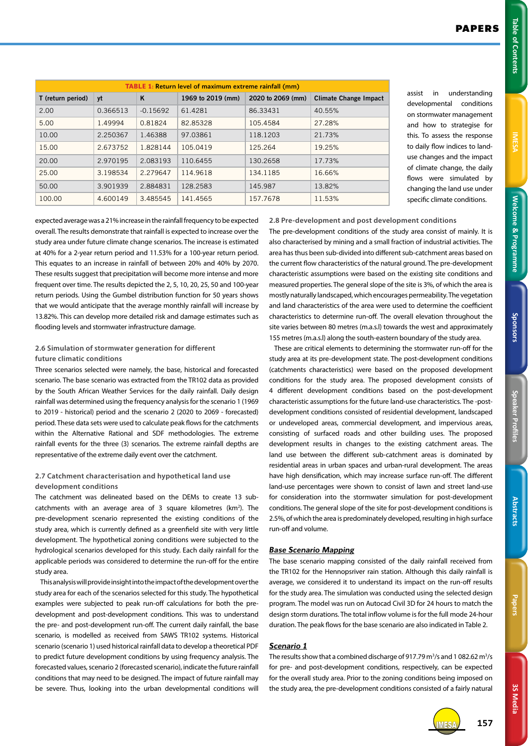| I |
|---|
|   |
|   |
|   |
|   |
|   |
|   |
|   |
|   |
|   |
|   |
|   |
|   |
|   |
|   |
|   |
|   |
|   |
|   |
|   |
|   |
|   |
|   |
|   |
|   |
|   |
|   |
|   |
|   |
|   |
|   |
|   |

Sponsors

3S Media **3S Media**

| TABLE 1: Return level of maximum extreme rainfall (mm) |          |            |                   |                   |                              |  |  |
|--------------------------------------------------------|----------|------------|-------------------|-------------------|------------------------------|--|--|
| T (return period)                                      | yt       | K          | 1969 to 2019 (mm) | 2020 to 2069 (mm) | <b>Climate Change Impact</b> |  |  |
| 2.00                                                   | 0.366513 | $-0.15692$ | 61.4281           | 86.33431          | 40.55%                       |  |  |
| 5.00                                                   | 1.49994  | 0.81824    | 82.85328          | 105.4584          | 27.28%                       |  |  |
| 10.00                                                  | 2.250367 | 1.46388    | 97.03861          | 118.1203          | 21.73%                       |  |  |
| 15.00                                                  | 2.673752 | 1.828144   | 105.0419          | 125.264           | 19.25%                       |  |  |
| 20.00                                                  | 2.970195 | 2.083193   | 110.6455          | 130.2658          | 17.73%                       |  |  |
| 25.00                                                  | 3.198534 | 2.279647   | 114,9618          | 134.1185          | 16.66%                       |  |  |
| 50.00                                                  | 3.901939 | 2.884831   | 128.2583          | 145.987           | 13.82%                       |  |  |
| 100.00                                                 | 4.600149 | 3.485545   | 141.4565          | 157.7678          | 11.53%                       |  |  |

assist in understanding developmental conditions on stormwater management and how to strategise for this. To assess the response to daily flow indices to landuse changes and the impact of climate change, the daily flows were simulated by changing the land use under specific climate conditions.

expected average was a 21% increase in the rainfall frequency to be expected overall. The results demonstrate that rainfall is expected to increase over the study area under future climate change scenarios. The increase is estimated at 40% for a 2-year return period and 11.53% for a 100-year return period. This equates to an increase in rainfall of between 20% and 40% by 2070. These results suggest that precipitation will become more intense and more frequent over time. The results depicted the 2, 5, 10, 20, 25, 50 and 100-year return periods. Using the Gumbel distribution function for 50 years shows that we would anticipate that the average monthly rainfall will increase by 13.82%. This can develop more detailed risk and damage estimates such as flooding levels and stormwater infrastructure damage.

## **2.6 Simulation of stormwater generation for different future climatic conditions**

Three scenarios selected were namely, the base, historical and forecasted scenario. The base scenario was extracted from the TR102 data as provided by the South African Weather Services for the daily rainfall. Daily design rainfall was determined using the frequency analysis for the scenario 1 (1969 to 2019 - historical) period and the scenario 2 (2020 to 2069 - forecasted) period. These data sets were used to calculate peak flows for the catchments within the Alternative Rational and SDF methodologies. The extreme rainfall events for the three (3) scenarios. The extreme rainfall depths are representative of the extreme daily event over the catchment.

## **2.7 Catchment characterisation and hypothetical land use development conditions**

The catchment was delineated based on the DEMs to create 13 subcatchments with an average area of 3 square kilometres  $(km^2)$ . The pre-development scenario represented the existing conditions of the study area, which is currently defined as a greenfield site with very little development. The hypothetical zoning conditions were subjected to the hydrological scenarios developed for this study. Each daily rainfall for the applicable periods was considered to determine the run-off for the entire study area.

This analysis will provide insight into the impact of the development over the study area for each of the scenarios selected for this study. The hypothetical examples were subjected to peak run-off calculations for both the predevelopment and post-development conditions. This was to understand the pre- and post-development run-off. The current daily rainfall, the base scenario, is modelled as received from SAWS TR102 systems. Historical scenario (scenario 1) used historical rainfall data to develop a theoretical PDF to predict future development conditions by using frequency analysis. The forecasted values, scenario 2 (forecasted scenario), indicate the future rainfall conditions that may need to be designed. The impact of future rainfall may be severe. Thus, looking into the urban developmental conditions will **2.8 Pre-development and post development conditions** The pre-development conditions of the study area consist of mainly. It is also characterised by mining and a small fraction of industrial activities. The area has thus been sub-divided into different sub-catchment areas based on the current flow characteristics of the natural ground. The pre-development characteristic assumptions were based on the existing site conditions and measured properties. The general slope of the site is 3%, of which the area is mostly naturally landscaped, which encourages permeability. The vegetation and land characteristics of the area were used to determine the coefficient characteristics to determine run-off. The overall elevation throughout the site varies between 80 metres (m.a.s.l) towards the west and approximately 155 metres (m.a.s.l) along the south-eastern boundary of the study area.

These are critical elements to determining the stormwater run-off for the study area at its pre-development state. The post-development conditions (catchments characteristics) were based on the proposed development conditions for the study area. The proposed development consists of 4 different development conditions based on the post-development characteristic assumptions for the future land-use characteristics. The -postdevelopment conditions consisted of residential development, landscaped or undeveloped areas, commercial development, and impervious areas, consisting of surfaced roads and other building uses. The proposed development results in changes to the existing catchment areas. The land use between the different sub-catchment areas is dominated by residential areas in urban spaces and urban-rural development. The areas have high densification, which may increase surface run-off. The different land-use percentages were shown to consist of lawn and street land-use for consideration into the stormwater simulation for post-development conditions. The general slope of the site for post-development conditions is 2.5%, of which the area is predominately developed, resulting in high surface run-off and volume.

# *Base Scenario Mapping*

The base scenario mapping consisted of the daily rainfall received from the TR102 for the Hennopsriver rain station. Although this daily rainfall is average, we considered it to understand its impact on the run-off results for the study area. The simulation was conducted using the selected design program. The model was run on Autocad Civil 3D for 24 hours to match the design storm durations. The total inflow volume is for the full mode 24-hour duration. The peak flows for the base scenario are also indicated in Table 2.

# *Scenario 1*

The results show that a combined discharge of 917.79  $m^3/s$  and 1082.62  $m^3/s$ for pre- and post-development conditions, respectively, can be expected for the overall study area. Prior to the zoning conditions being imposed on the study area, the pre-development conditions consisted of a fairly natural



IMESA **157**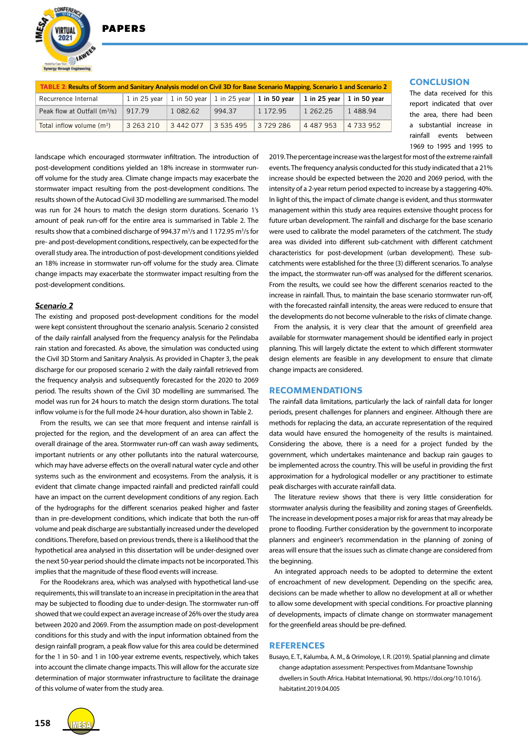**DADEDS** 



| TABLE 2: Results of Storm and Sanitary Analysis model on Civil 3D for Base Scenario Mapping, Scenario 1 and Scenario 2 |           |                                                           |           |             |                                   |               |  |  |
|------------------------------------------------------------------------------------------------------------------------|-----------|-----------------------------------------------------------|-----------|-------------|-----------------------------------|---------------|--|--|
| Recurrence Internal                                                                                                    |           | 1 in 25 year   1 in 50 year   1 in 25 year   1 in 50 year |           |             | 1 in 25 vear $\vert$ 1 in 50 vear |               |  |  |
| Peak flow at Outfall $(m^3/s)$                                                                                         | 917.79    | 1 082.62                                                  | 994 37    | 1 1 7 2 9 5 | 1 262.25                          | 1488.94       |  |  |
| Total inflow volume $(m^3)$                                                                                            | 3 263 210 | 3 442 077                                                 | 3 535 495 | 3729286     | 4 4 8 7 9 5 3                     | 4 7 3 3 9 5 2 |  |  |

## **CONCLUSION**

The data received for this report indicated that over the area, there had been a substantial increase in rainfall events between 1969 to 1995 and 1995 to

landscape which encouraged stormwater infiltration. The introduction of post-development conditions yielded an 18% increase in stormwater runoff volume for the study area. Climate change impacts may exacerbate the stormwater impact resulting from the post-development conditions. The results shown of the Autocad Civil 3D modelling are summarised. The model was run for 24 hours to match the design storm durations. Scenario 1's amount of peak run-off for the entire area is summarised in Table 2. The results show that a combined discharge of 994.37 m<sup>3</sup>/s and 1 172.95 m<sup>3</sup>/s for pre- and post-development conditions, respectively, can be expected for the overall study area. The introduction of post-development conditions yielded an 18% increase in stormwater run-off volume for the study area. Climate change impacts may exacerbate the stormwater impact resulting from the post-development conditions.

## *Scenario 2*

The existing and proposed post-development conditions for the model were kept consistent throughout the scenario analysis. Scenario 2 consisted of the daily rainfall analysed from the frequency analysis for the Pelindaba rain station and forecasted. As above, the simulation was conducted using the Civil 3D Storm and Sanitary Analysis. As provided in Chapter 3, the peak discharge for our proposed scenario 2 with the daily rainfall retrieved from the frequency analysis and subsequently forecasted for the 2020 to 2069 period. The results shown of the Civil 3D modelling are summarised. The model was run for 24 hours to match the design storm durations. The total inflow volume is for the full mode 24-hour duration, also shown in Table 2.

From the results, we can see that more frequent and intense rainfall is projected for the region, and the development of an area can affect the overall drainage of the area. Stormwater run-off can wash away sediments, important nutrients or any other pollutants into the natural watercourse, which may have adverse effects on the overall natural water cycle and other systems such as the environment and ecosystems. From the analysis, it is evident that climate change impacted rainfall and predicted rainfall could have an impact on the current development conditions of any region. Each of the hydrographs for the different scenarios peaked higher and faster than in pre-development conditions, which indicate that both the run-off volume and peak discharge are substantially increased under the developed conditions. Therefore, based on previous trends, there is a likelihood that the hypothetical area analysed in this dissertation will be under-designed over the next 50-year period should the climate impacts not be incorporated. This implies that the magnitude of these flood events will increase.

For the Roodekrans area, which was analysed with hypothetical land-use requirements, this will translate to an increase in precipitation in the area that may be subjected to flooding due to under-design. The stormwater run-off showed that we could expect an average increase of 26% over the study area between 2020 and 2069. From the assumption made on post-development conditions for this study and with the input information obtained from the design rainfall program, a peak flow value for this area could be determined for the 1 in 50- and 1 in 100-year extreme events, respectively, which takes into account the climate change impacts. This will allow for the accurate size determination of major stormwater infrastructure to facilitate the drainage of this volume of water from the study area.

2019. The percentage increase was the largest for most of the extreme rainfall events. The frequency analysis conducted for this study indicated that a 21% increase should be expected between the 2020 and 2069 period, with the intensity of a 2-year return period expected to increase by a staggering 40%. In light of this, the impact of climate change is evident, and thus stormwater management within this study area requires extensive thought process for future urban development. The rainfall and discharge for the base scenario were used to calibrate the model parameters of the catchment. The study area was divided into different sub-catchment with different catchment characteristics for post-development (urban development). These subcatchments were established for the three (3) different scenarios. To analyse the impact, the stormwater run-off was analysed for the different scenarios. From the results, we could see how the different scenarios reacted to the increase in rainfall. Thus, to maintain the base scenario stormwater run-off, with the forecasted rainfall intensity, the areas were reduced to ensure that the developments do not become vulnerable to the risks of climate change.

From the analysis, it is very clear that the amount of greenfield area available for stormwater management should be identified early in project planning. This will largely dictate the extent to which different stormwater design elements are feasible in any development to ensure that climate change impacts are considered.

#### **RECOMMENDATIONS**

The rainfall data limitations, particularly the lack of rainfall data for longer periods, present challenges for planners and engineer. Although there are methods for replacing the data, an accurate representation of the required data would have ensured the homogeneity of the results is maintained. Considering the above, there is a need for a project funded by the government, which undertakes maintenance and backup rain gauges to be implemented across the country. This will be useful in providing the first approximation for a hydrological modeller or any practitioner to estimate peak discharges with accurate rainfall data.

The literature review shows that there is very little consideration for stormwater analysis during the feasibility and zoning stages of Greenfields. The increase in development poses a major risk for areas that may already be prone to flooding. Further consideration by the government to incorporate planners and engineer's recommendation in the planning of zoning of areas will ensure that the issues such as climate change are considered from the beginning.

An integrated approach needs to be adopted to determine the extent of encroachment of new development. Depending on the specific area, decisions can be made whether to allow no development at all or whether to allow some development with special conditions. For proactive planning of developments, impacts of climate change on stormwater management for the greenfield areas should be pre-defined.

## **REFERENCES**

Busayo, E. T., Kalumba, A. M., & Orimoloye, I. R. (2019). Spatial planning and climate change adaptation assessment: Perspectives from Mdantsane Township dwellers in South Africa. Habitat International, 90. https://doi.org/10.1016/j. habitatint.2019.04.005